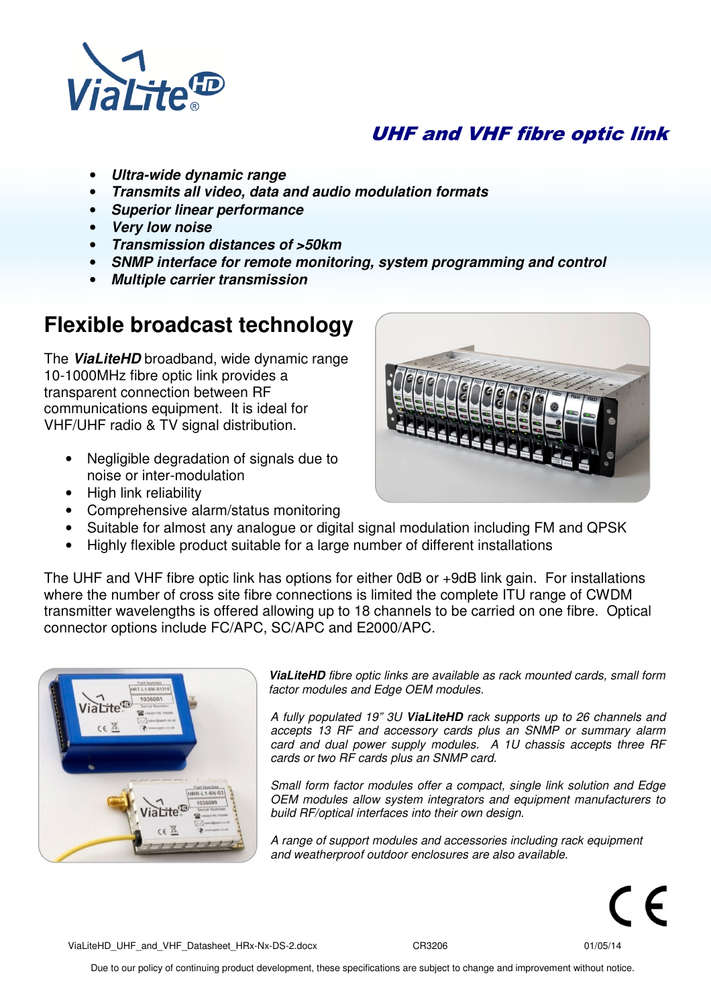

## UHF and VHF fibre optic link

- **Ultra-wide dynamic range**
- **Transmits all video, data and audio modulation formats**
- **Superior linear performance**
- **Very low noise**
- **Transmission distances of >50km**
- **SNMP interface for remote monitoring, system programming and control**
- **Multiple carrier transmission**

# **Flexible broadcast technology**

The **ViaLiteHD** broadband, wide dynamic range 10-1000MHz fibre optic link provides a transparent connection between RF communications equipment. It is ideal for VHF/UHF radio & TV signal distribution.

- Negligible degradation of signals due to noise or inter-modulation
- High link reliability
- Comprehensive alarm/status monitoring



• Highly flexible product suitable for a large number of different installations

The UHF and VHF fibre optic link has options for either 0dB or +9dB link gain. For installations where the number of cross site fibre connections is limited the complete ITU range of CWDM transmitter wavelengths is offered allowing up to 18 channels to be carried on one fibre. Optical connector options include FC/APC, SC/APC and E2000/APC.



**ViaLiteHD** fibre optic links are available as rack mounted cards, small form factor modules and Edge OEM modules.

A fully populated 19" 3U **ViaLiteHD** rack supports up to 26 channels and accepts 13 RF and accessory cards plus an SNMP or summary alarm card and dual power supply modules. A 1U chassis accepts three RF cards or two RF cards plus an SNMP card.

Small form factor modules offer a compact, single link solution and Edge OEM modules allow system integrators and equipment manufacturers to build RF/optical interfaces into their own design.

A range of support modules and accessories including rack equipment and weatherproof outdoor enclosures are also available.



ViaLiteHD\_UHF\_and\_VHF\_Datasheet\_HRx-Nx-DS-2.docx CR3206 CR3206 01/05/14